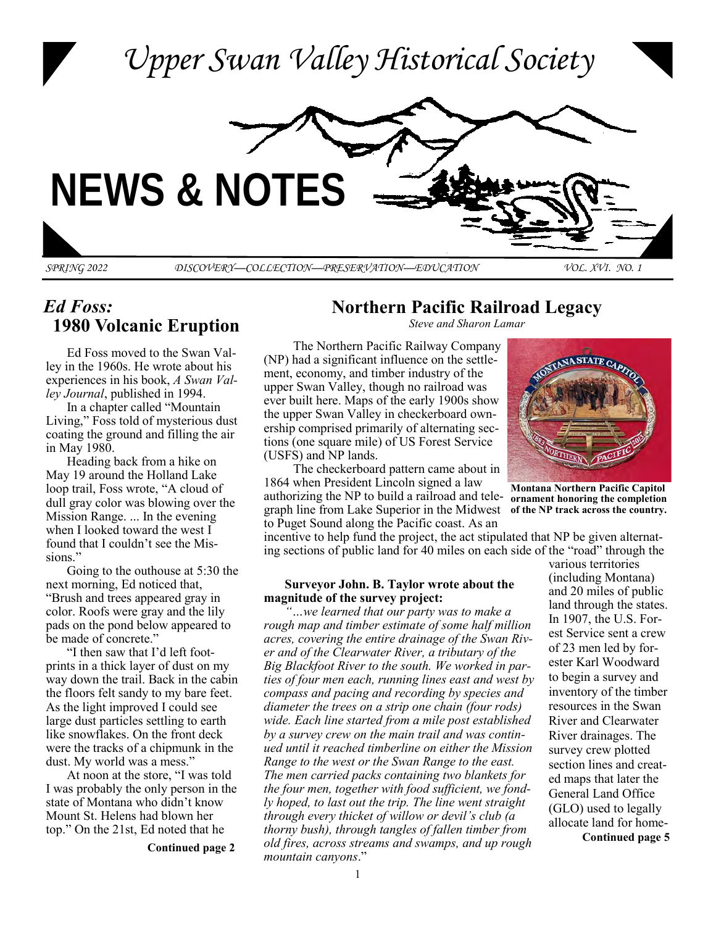

# *Ed Foss:*   **1980 Volcanic Eruption**

Ed Foss moved to the Swan Valley in the 1960s. He wrote about his experiences in his book, *A Swan Valley Journal*, published in 1994.

In a chapter called "Mountain Living," Foss told of mysterious dust coating the ground and filling the air in May 1980.

Heading back from a hike on May 19 around the Holland Lake loop trail, Foss wrote, "A cloud of dull gray color was blowing over the Mission Range. ... In the evening when I looked toward the west I found that I couldn't see the Missions."

Going to the outhouse at 5:30 the next morning, Ed noticed that, "Brush and trees appeared gray in color. Roofs were gray and the lily pads on the pond below appeared to be made of concrete."

"I then saw that I'd left footprints in a thick layer of dust on my way down the trail. Back in the cabin the floors felt sandy to my bare feet. As the light improved I could see large dust particles settling to earth like snowflakes. On the front deck were the tracks of a chipmunk in the dust. My world was a mess."

At noon at the store, "I was told I was probably the only person in the state of Montana who didn't know Mount St. Helens had blown her top." On the 21st, Ed noted that he

**Continued page 2**

**Northern Pacific Railroad Legacy**

*Steve and Sharon Lamar*

The Northern Pacific Railway Company (NP) had a significant influence on the settlement, economy, and timber industry of the upper Swan Valley, though no railroad was ever built here. Maps of the early 1900s show the upper Swan Valley in checkerboard ownership comprised primarily of alternating sections (one square mile) of US Forest Service (USFS) and NP lands.

The checkerboard pattern came about in 1864 when President Lincoln signed a law authorizing the NP to build a railroad and telegraph line from Lake Superior in the Midwest **of the NP track across the country.** to Puget Sound along the Pacific coast. As an

incentive to help fund the project, the act stipulated that NP be given alternating sections of public land for 40 miles on each side of the "road" through the

#### **Surveyor John. B. Taylor wrote about the magnitude of the survey project:**

*"…we learned that our party was to make a rough map and timber estimate of some half million acres, covering the entire drainage of the Swan River and of the Clearwater River, a tributary of the Big Blackfoot River to the south. We worked in parties of four men each, running lines east and west by compass and pacing and recording by species and diameter the trees on a strip one chain (four rods) wide. Each line started from a mile post established by a survey crew on the main trail and was continued until it reached timberline on either the Mission Range to the west or the Swan Range to the east. The men carried packs containing two blankets for the four men, together with food sufficient, we fondly hoped, to last out the trip. The line went straight through every thicket of willow or devil's club (a thorny bush), through tangles of fallen timber from old fires, across streams and swamps, and up rough mountain canyons*."



**Montana Northern Pacific Capitol ornament honoring the completion** 

**Continued page 5** various territories (including Montana) and 20 miles of public land through the states. In 1907, the U.S. Forest Service sent a crew of 23 men led by forester Karl Woodward to begin a survey and inventory of the timber resources in the Swan River and Clearwater River drainages. The survey crew plotted section lines and created maps that later the General Land Office (GLO) used to legally allocate land for home-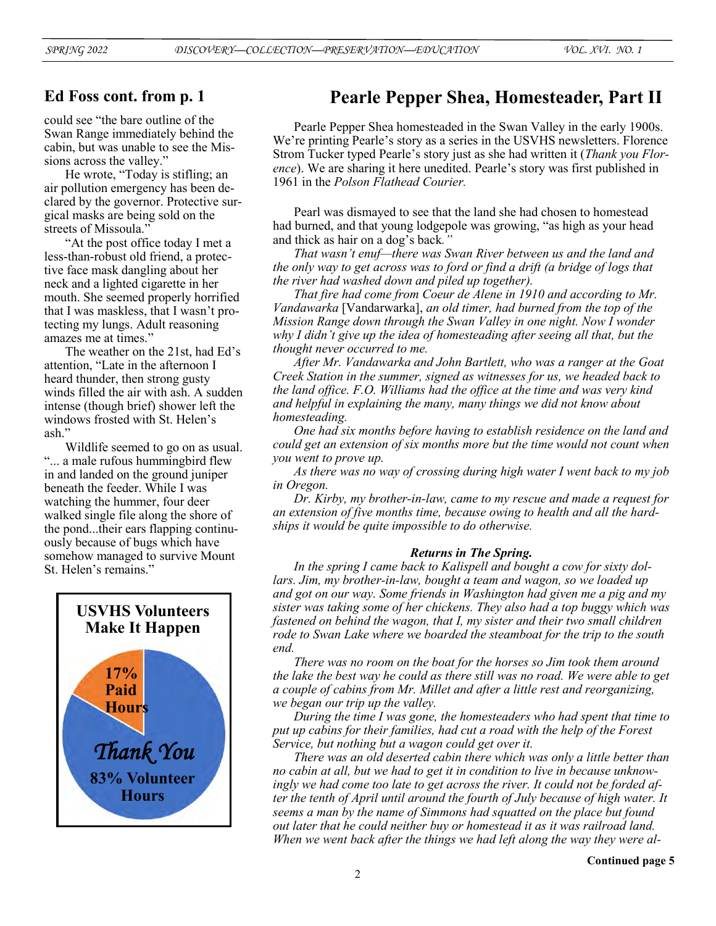## **Ed Foss cont. from p. 1**

could see "the bare outline of the Swan Range immediately behind the cabin, but was unable to see the Missions across the valley."

He wrote, "Today is stifling; an air pollution emergency has been declared by the governor. Protective surgical masks are being sold on the streets of Missoula."

"At the post office today I met a less-than-robust old friend, a protective face mask dangling about her neck and a lighted cigarette in her mouth. She seemed properly horrified that I was maskless, that I wasn't protecting my lungs. Adult reasoning amazes me at times."

The weather on the 21st, had Ed's attention, "Late in the afternoon I heard thunder, then strong gusty winds filled the air with ash. A sudden intense (though brief) shower left the windows frosted with St. Helen's ash."

Wildlife seemed to go on as usual. "... a male rufous hummingbird flew in and landed on the ground juniper beneath the feeder. While I was watching the hummer, four deer walked single file along the shore of the pond...their ears flapping continuously because of bugs which have somehow managed to survive Mount St. Helen's remains.'



## **Pearle Pepper Shea, Homesteader, Part II**

Pearle Pepper Shea homesteaded in the Swan Valley in the early 1900s. We're printing Pearle's story as a series in the USVHS newsletters. Florence Strom Tucker typed Pearle's story just as she had written it (*Thank you Florence*). We are sharing it here unedited. Pearle's story was first published in 1961 in the *Polson Flathead Courier.*

Pearl was dismayed to see that the land she had chosen to homestead had burned, and that young lodgepole was growing, "as high as your head and thick as hair on a dog's back*."*

*That wasn't enuf—there was Swan River between us and the land and the only way to get across was to ford or find a drift (a bridge of logs that the river had washed down and piled up together).* 

*That fire had come from Coeur de Alene in 1910 and according to Mr. Vandawarka* [Vandarwarka], *an old timer, had burned from the top of the Mission Range down through the Swan Valley in one night. Now I wonder why I didn't give up the idea of homesteading after seeing all that, but the thought never occurred to me.*

*After Mr. Vandawarka and John Bartlett, who was a ranger at the Goat Creek Station in the summer, signed as witnesses for us, we headed back to the land office. F.O. Williams had the office at the time and was very kind and helpful in explaining the many, many things we did not know about homesteading.*

*One had six months before having to establish residence on the land and could get an extension of six months more but the time would not count when you went to prove up.*

*As there was no way of crossing during high water I went back to my job in Oregon.*

*Dr. Kirby, my brother-in-law, came to my rescue and made a request for an extension of five months time, because owing to health and all the hardships it would be quite impossible to do otherwise.*

#### *Returns in The Spring.*

*In the spring I came back to Kalispell and bought a cow for sixty dollars. Jim, my brother-in-law, bought a team and wagon, so we loaded up and got on our way. Some friends in Washington had given me a pig and my sister was taking some of her chickens. They also had a top buggy which was fastened on behind the wagon, that I, my sister and their two small children rode to Swan Lake where we boarded the steamboat for the trip to the south end.*

*There was no room on the boat for the horses so Jim took them around the lake the best way he could as there still was no road. We were able to get a couple of cabins from Mr. Millet and after a little rest and reorganizing, we began our trip up the valley.*

*During the time I was gone, the homesteaders who had spent that time to put up cabins for their families, had cut a road with the help of the Forest Service, but nothing but a wagon could get over it.*

*There was an old deserted cabin there which was only a little better than no cabin at all, but we had to get it in condition to live in because unknowingly we had come too late to get across the river. It could not be forded after the tenth of April until around the fourth of July because of high water. It seems a man by the name of Simmons had squatted on the place but found out later that he could neither buy or homestead it as it was railroad land. When we went back after the things we had left along the way they were al-*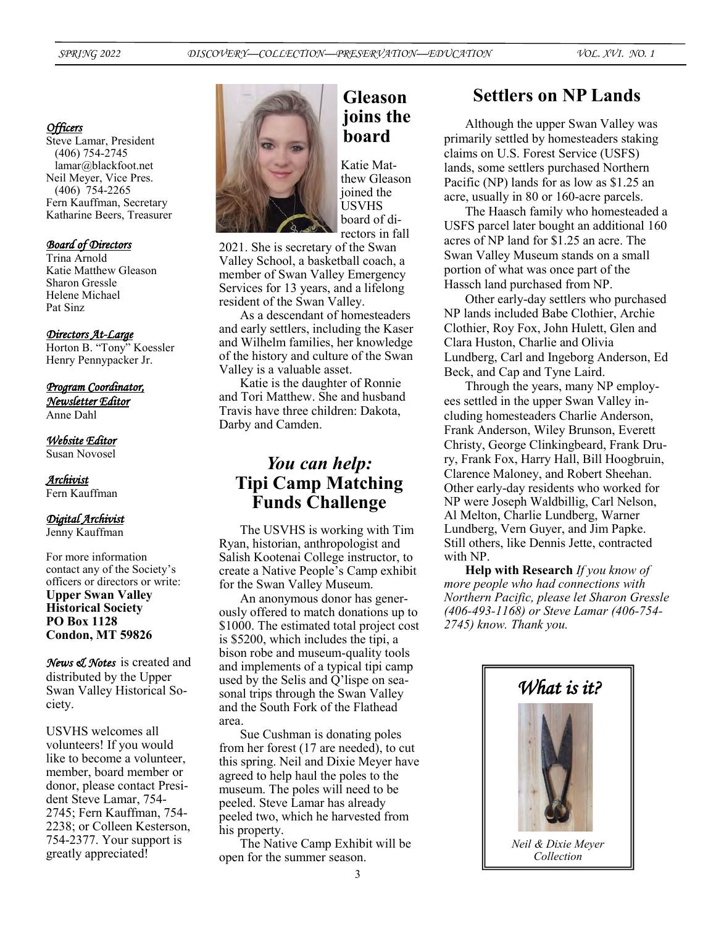#### *Officers*

Steve Lamar, President (406) 754-2745 lamar@blackfoot.net Neil Meyer, Vice Pres. (406) 754-2265 Fern Kauffman, Secretary Katharine Beers, Treasurer

#### *Board of Directors*

Trina Arnold Katie Matthew Gleason Sharon Gressle Helene Michael Pat Sinz

#### *Directors At-Large*

Horton B. "Tony" Koessler Henry Pennypacker Jr.

#### *Program Coordinator,*

*Newsletter Editor*  Anne Dahl

*Website Editor*  Susan Novosel

### *Archivist*

Fern Kauffman

#### *Digital Archivist*

Jenny Kauffman

For more information contact any of the Society's officers or directors or write: **Upper Swan Valley Historical Society PO Box 1128 Condon, MT 59826**

*News & Notes* is created and distributed by the Upper Swan Valley Historical Society.

USVHS welcomes all volunteers! If you would like to become a volunteer, member, board member or donor, please contact President Steve Lamar, 754- 2745; Fern Kauffman, 754- 2238; or Colleen Kesterson, 754-2377. Your support is greatly appreciated!



# **Gleason joins the board**

Katie Matthew Gleason joined the USVHS board of directors in fall

2021. She is secretary of the Swan Valley School, a basketball coach, a member of Swan Valley Emergency Services for 13 years, and a lifelong resident of the Swan Valley.

As a descendant of homesteaders and early settlers, including the Kaser and Wilhelm families, her knowledge of the history and culture of the Swan Valley is a valuable asset.

Katie is the daughter of Ronnie and Tori Matthew. She and husband Travis have three children: Dakota, Darby and Camden.

# *You can help:*  **Tipi Camp Matching Funds Challenge**

The USVHS is working with Tim Ryan, historian, anthropologist and Salish Kootenai College instructor, to create a Native People's Camp exhibit for the Swan Valley Museum.

An anonymous donor has generously offered to match donations up to \$1000. The estimated total project cost is \$5200, which includes the tipi, a bison robe and museum-quality tools and implements of a typical tipi camp used by the Selis and Q'lispe on seasonal trips through the Swan Valley and the South Fork of the Flathead area.

Sue Cushman is donating poles from her forest (17 are needed), to cut this spring. Neil and Dixie Meyer have agreed to help haul the poles to the museum. The poles will need to be peeled. Steve Lamar has already peeled two, which he harvested from his property.

The Native Camp Exhibit will be open for the summer season.

# **Settlers on NP Lands**

Although the upper Swan Valley was primarily settled by homesteaders staking claims on U.S. Forest Service (USFS) lands, some settlers purchased Northern Pacific (NP) lands for as low as \$1.25 an acre, usually in 80 or 160-acre parcels.

The Haasch family who homesteaded a USFS parcel later bought an additional 160 acres of NP land for \$1.25 an acre. The Swan Valley Museum stands on a small portion of what was once part of the Hassch land purchased from NP.

Other early-day settlers who purchased NP lands included Babe Clothier, Archie Clothier, Roy Fox, John Hulett, Glen and Clara Huston, Charlie and Olivia Lundberg, Carl and Ingeborg Anderson, Ed Beck, and Cap and Tyne Laird.

Through the years, many NP employees settled in the upper Swan Valley including homesteaders Charlie Anderson, Frank Anderson, Wiley Brunson, Everett Christy, George Clinkingbeard, Frank Drury, Frank Fox, Harry Hall, Bill Hoogbruin, Clarence Maloney, and Robert Sheehan. Other early-day residents who worked for NP were Joseph Waldbillig, Carl Nelson, Al Melton, Charlie Lundberg, Warner Lundberg, Vern Guyer, and Jim Papke. Still others, like Dennis Jette, contracted with NP.

**Help with Research** *If you know of more people who had connections with Northern Pacific, please let Sharon Gressle (406-493-1168) or Steve Lamar (406-754- 2745) know. Thank you.*

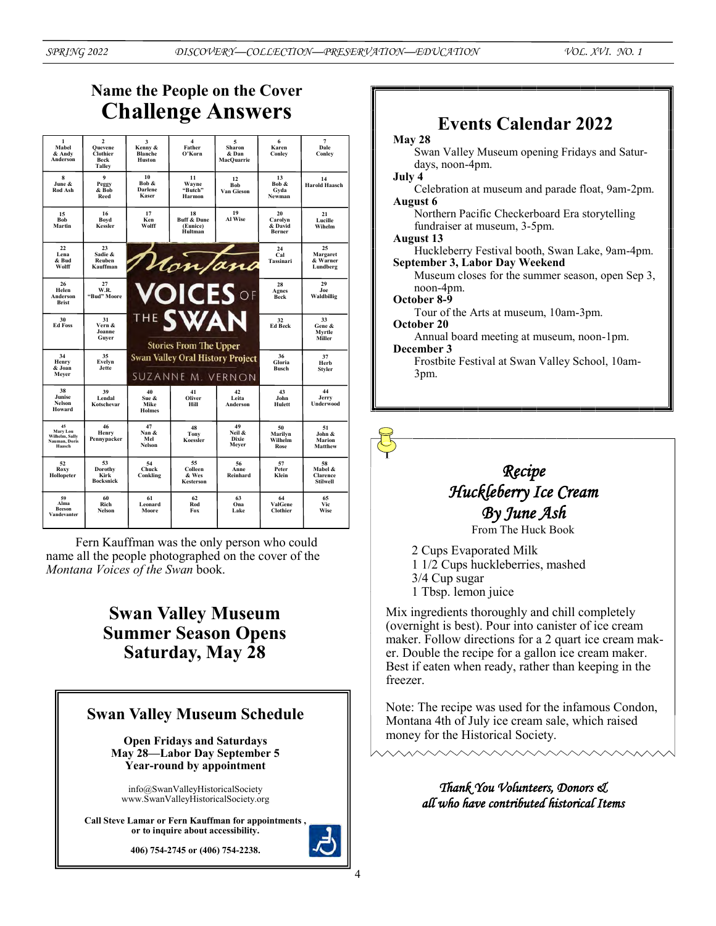# **Name the People on the Cover Challenge Answers**

| $\mathbf{1}$<br>Mahel<br>& Andy<br>Anderson                 | $\overline{2}$<br>Ouevene<br>Clothier<br>Beck<br>Talley | 3<br>Kenny &<br><b>Blanche</b><br>Huston                     | $\overline{\mathbf{4}}$<br>Father<br>O'Korn         | 5<br>Sharon<br>& Dan<br>MacOuarrie    | 6<br>Karen<br>Conley                      | 7<br>Dale<br>Conley                      |
|-------------------------------------------------------------|---------------------------------------------------------|--------------------------------------------------------------|-----------------------------------------------------|---------------------------------------|-------------------------------------------|------------------------------------------|
| 8<br>June &<br>Rod Ash                                      | 9<br>Peggy<br>& Bob<br>Reed                             | 10<br>Bob &<br><b>Darlene</b><br>Kaser                       | 11<br>Wayne<br>"Butch"<br>Harmon                    | 12<br><b>Bob</b><br>Van Gieson        | 13<br>Bob &<br>Gyda<br>Newman             | 14<br><b>Harold Haasch</b>               |
| 15<br><b>Bob</b><br>Martin                                  | 16<br>Boyd<br>Kessler                                   | 17<br>Ken<br>Wolff                                           | 18<br><b>Buff &amp; Dune</b><br>(Eunice)<br>Hultman | 19<br>Al Wise                         | 20<br>Carolyn<br>& David<br><b>Berner</b> | 21<br>Lucille<br>Wihelm                  |
| 22<br>Lena<br>& Bud<br>Wolff                                | 23<br>Sadie &<br>Reuben<br>Kauffman                     |                                                              | Nonfana                                             |                                       | 24<br>Cal<br>Tassinari                    | 25<br>Margaret<br>& Warner<br>Lundberg   |
| 26<br>Helen<br>Anderson<br><b>Brist</b>                     | 27<br>W.R.<br>"Bud" Moore                               |                                                              | <b>VOICES</b> OF                                    |                                       | 28<br>Agnes<br>Beck                       | 29<br>Joe<br>Waldbillig                  |
| 30<br><b>Ed Foss</b>                                        | 31<br>Vern &<br>Joanne<br>Guver                         |                                                              | <b>THE SWAN</b><br><b>Stories From The Upper</b>    |                                       | 32<br><b>Ed Beck</b>                      | 33<br>Gene &<br>Mvrtle<br>Miller         |
| 34<br>Henry<br>& Joan<br>Mever                              | 35<br>Evelyn<br>Jette                                   | <b>Swan Valley Oral History Project</b><br>SUZANNE M. VERNON |                                                     |                                       | 36<br>Gloria<br><b>Busch</b>              | 37<br>Herb<br>Styler                     |
| 38<br>Junise<br><b>Nelson</b><br>Howard                     | 39<br>Lendal<br>Kotschevar                              | 40<br>Sue &<br>Mike<br><b>Holmes</b>                         | 41<br>Oliver<br>Hill                                | 42<br>Leita<br>Anderson               | 43<br>John<br>Hulett                      | 44<br>Jerry<br><b>Underwood</b>          |
| 45<br>Mary Lou<br>Wilhelm, Sally<br>Nauman, Doris<br>Haasch | 46<br>Henry<br>Pennypacker                              | 47<br>Nan &<br>Mel<br><b>Nelson</b>                          | 48<br>Tony<br>Koessler                              | 49<br>Neil &<br><b>Dixie</b><br>Mever | 50<br>Marilyn<br>Wilhelm<br>Rose          | 51<br>John &<br>Marion<br><b>Matthew</b> |
| 52<br>Roxy<br>Hollopeter                                    | 53<br>Dorothy<br>Kirk<br><b>Bocksnick</b>               | 54<br>Chuck<br>Conkling                                      | 55<br>Colleen<br>& Wes<br>Kesterson                 | 56<br>Anne<br>Reinhard                | 57<br>Peter<br>Klein                      | 58<br>Mabel &<br>Clarence<br>Stilwell    |
| 59<br>Alma<br><b>Beeson</b><br>Vandevanter                  | 60<br>Rich<br><b>Nelson</b>                             | 61<br>Leonard<br>Moore                                       | 62<br>Rod<br>Fox                                    | 63<br>Ona<br>Lake                     | 64<br>ValGene<br>Clothier                 | 65<br>Vic<br>Wise                        |

Fern Kauffman was the only person who could name all the people photographed on the cover of the *Montana Voices of the Swan* book.

# **Swan Valley Museum Summer Season Opens Saturday, May 28**

## **Swan Valley Museum Schedule Open Fridays and Saturdays May 28—Labor Day September 5 Year-round by appointment**  info@SwanValleyHistoricalSociety www.SwanValleyHistoricalSociety.org **Call Steve Lamar or Fern Kauffman for appointments , or to inquire about accessibility. 406) 754-2745 or (406) 754-2238.**

# **Events Calendar 2022**

### **May 28**

Swan Valley Museum opening Fridays and Saturdays, noon-4pm. **July 4**

Celebration at museum and parade float, 9am-2pm. **August 6**

Northern Pacific Checkerboard Era storytelling fundraiser at museum, 3-5pm.

**August 13**

Huckleberry Festival booth, Swan Lake, 9am-4pm. **September 3, Labor Day Weekend**

Museum closes for the summer season, open Sep 3, noon-4pm.

#### **October 8-9**

Tour of the Arts at museum, 10am-3pm. **October 20**

Annual board meeting at museum, noon-1pm. **December 3** 

Frostbite Festival at Swan Valley School, 10am-3pm.

# *Recipe Huckleberry Ice Cream By June Ash*

From The Huck Book

2 Cups Evaporated Milk 1 1/2 Cups huckleberries, mashed 3/4 Cup sugar

1 Tbsp. lemon juice

Mix ingredients thoroughly and chill completely (overnight is best). Pour into canister of ice cream maker. Follow directions for a 2 quart ice cream maker. Double the recipe for a gallon ice cream maker. Best if eaten when ready, rather than keeping in the freezer.

Note: The recipe was used for the infamous Condon, Montana 4th of July ice cream sale, which raised money for the Historical Society.

> *Thank You Volunteers, Donors & all who have contributed historical Items*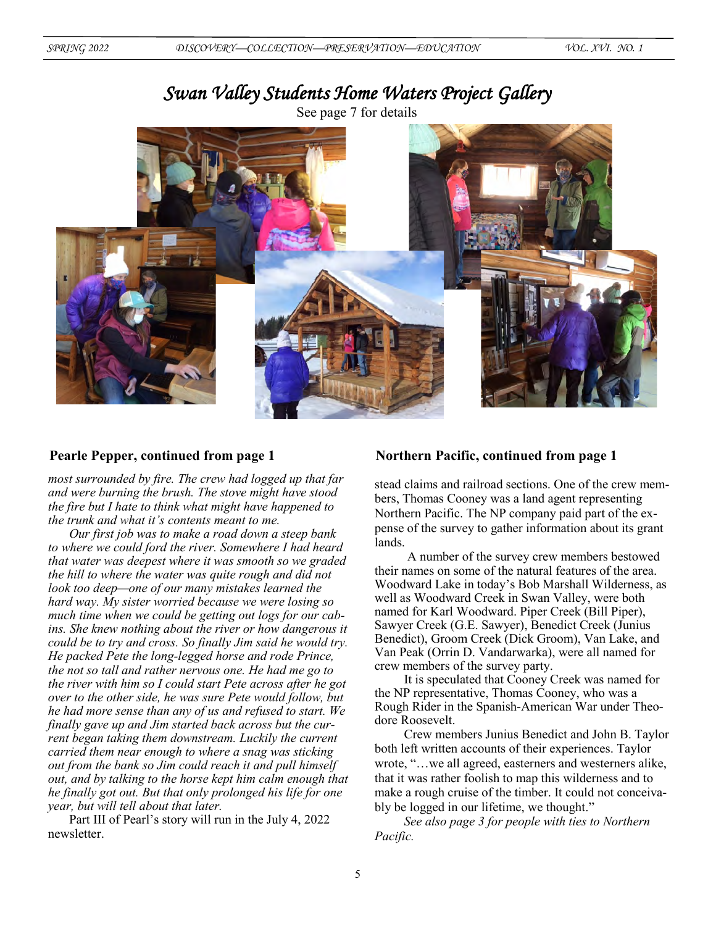# *Swan Valley Students Home Waters Project Gallery*

See page 7 for details



*most surrounded by fire. The crew had logged up that far and were burning the brush. The stove might have stood the fire but I hate to think what might have happened to the trunk and what it's contents meant to me.*

*Our first job was to make a road down a steep bank to where we could ford the river. Somewhere I had heard that water was deepest where it was smooth so we graded the hill to where the water was quite rough and did not look too deep—one of our many mistakes learned the hard way. My sister worried because we were losing so much time when we could be getting out logs for our cabins. She knew nothing about the river or how dangerous it could be to try and cross. So finally Jim said he would try. He packed Pete the long-legged horse and rode Prince, the not so tall and rather nervous one. He had me go to the river with him so I could start Pete across after he got over to the other side, he was sure Pete would follow, but he had more sense than any of us and refused to start. We finally gave up and Jim started back across but the current began taking them downstream. Luckily the current carried them near enough to where a snag was sticking out from the bank so Jim could reach it and pull himself out, and by talking to the horse kept him calm enough that he finally got out. But that only prolonged his life for one year, but will tell about that later.* 

Part III of Pearl's story will run in the July 4, 2022 newsletter.

#### **Pearle Pepper, continued from page 1 Northern Pacific, continued from page 1**

stead claims and railroad sections. One of the crew members, Thomas Cooney was a land agent representing Northern Pacific. The NP company paid part of the expense of the survey to gather information about its grant lands.

A number of the survey crew members bestowed their names on some of the natural features of the area. Woodward Lake in today's Bob Marshall Wilderness, as well as Woodward Creek in Swan Valley, were both named for Karl Woodward. Piper Creek (Bill Piper), Sawyer Creek (G.E. Sawyer), Benedict Creek (Junius Benedict), Groom Creek (Dick Groom), Van Lake, and Van Peak (Orrin D. Vandarwarka), were all named for crew members of the survey party.

It is speculated that Cooney Creek was named for the NP representative, Thomas Cooney, who was a Rough Rider in the Spanish-American War under Theodore Roosevelt.

Crew members Junius Benedict and John B. Taylor both left written accounts of their experiences. Taylor wrote, "…we all agreed, easterners and westerners alike, that it was rather foolish to map this wilderness and to make a rough cruise of the timber. It could not conceivably be logged in our lifetime, we thought."

*See also page 3 for people with ties to Northern Pacific.*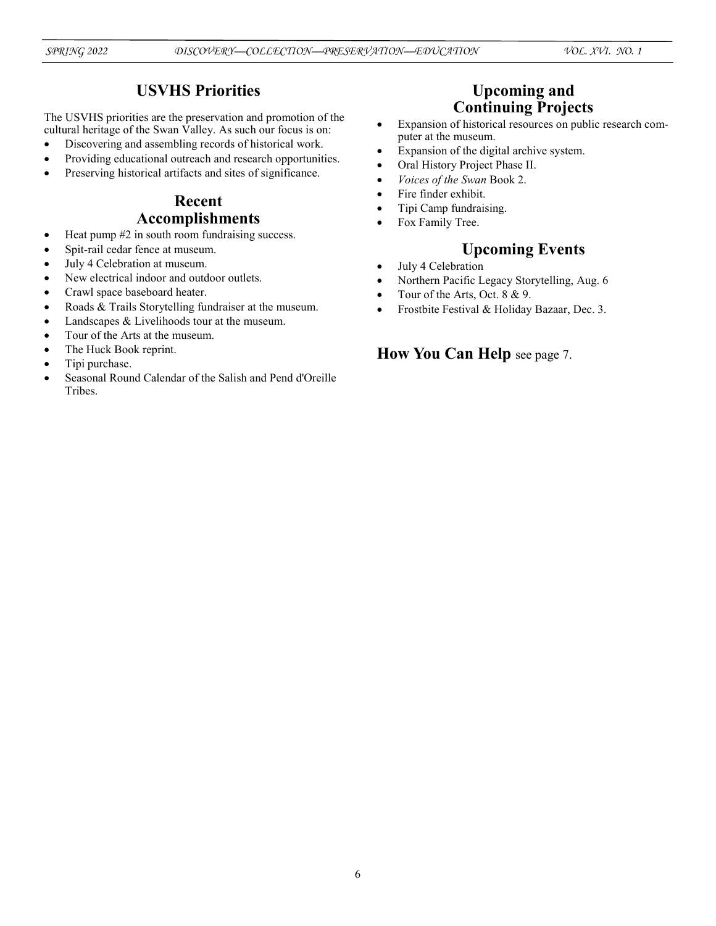## **USVHS Priorities**

The USVHS priorities are the preservation and promotion of the cultural heritage of the Swan Valley. As such our focus is on:

- Discovering and assembling records of historical work.
- Providing educational outreach and research opportunities.
- Preserving historical artifacts and sites of significance.

## **Recent Accomplishments**

- Heat pump  $#2$  in south room fundraising success.
- Spit-rail cedar fence at museum.
- July 4 Celebration at museum.
- New electrical indoor and outdoor outlets.
- Crawl space baseboard heater.
- Roads & Trails Storytelling fundraiser at the museum.
- Landscapes & Livelihoods tour at the museum.
- Tour of the Arts at the museum.
- The Huck Book reprint.
- Tipi purchase.
- Seasonal Round Calendar of the Salish and Pend d'Oreille Tribes.

## **Upcoming and Continuing Projects**

- Expansion of historical resources on public research computer at the museum.
- Expansion of the digital archive system.
- Oral History Project Phase II.
- *Voices of the Swan* Book 2.
- Fire finder exhibit.
- Tipi Camp fundraising.
- Fox Family Tree.

## **Upcoming Events**

- July 4 Celebration
- Northern Pacific Legacy Storytelling, Aug. 6
- Tour of the Arts, Oct. 8 & 9.
- Frostbite Festival & Holiday Bazaar, Dec. 3.

## **How You Can Help** see page 7.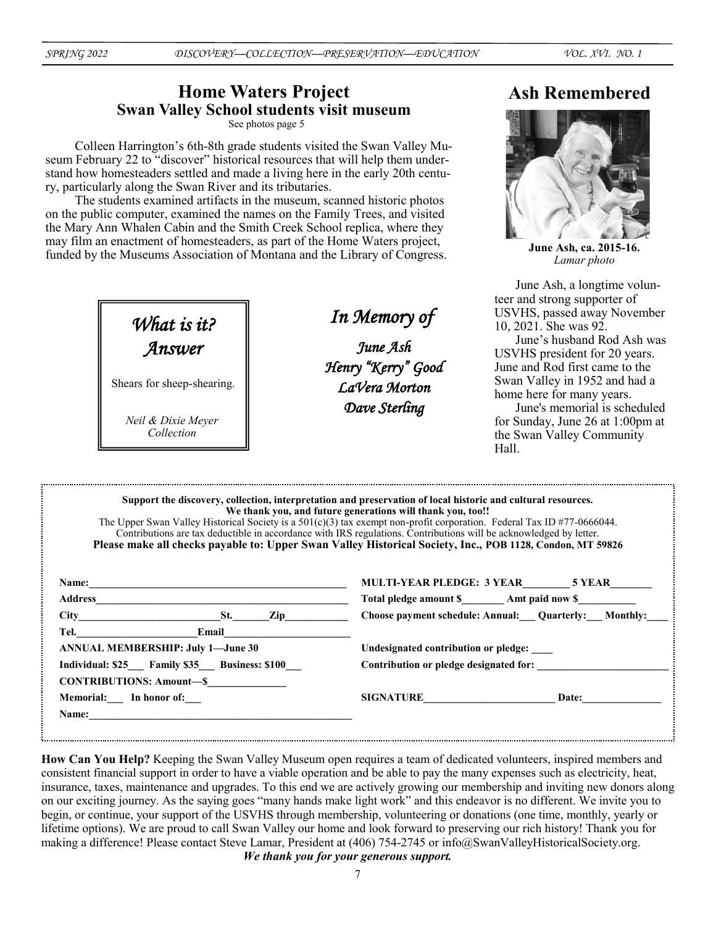## **Home Waters Project Swan Valley School students visit museum**

See photos page 5

Colleen Harrington's 6th-8th grade students visited the Swan Valley Museum February 22 to "discover" historical resources that will help them understand how homesteaders settled and made a living here in the early 20th century, particularly along the Swan River and its tributaries.

The students examined artifacts in the museum, scanned historic photos on the public computer, examined the names on the Family Trees, and visited the Mary Ann Whalen Cabin and the Smith Creek School replica, where they may film an enactment of homesteaders, as part of the Home Waters project, funded by the Museums Association of Montana and the Library of Congress.

*What is it? Answer*

Shears for sheep-shearing.

*Neil & Dixie Meyer Collection*

*In Memory of* 

*June Ash Henry "Kerry" Good LaVera Morton Dave Sterling* 

# **Ash Remembered**



**June Ash, ca. 2015-16.**  *Lamar photo*

June Ash, a longtime volunteer and strong supporter of USVHS, passed away November 10, 2021. She was 92.

June's husband Rod Ash was USVHS president for 20 years. June and Rod first came to the Swan Valley in 1952 and had a home here for many years.

June's memorial is scheduled for Sunday, June 26 at 1:00pm at the Swan Valley Community Hall.

|                                              | Support the discovery, collection, interpretation and preservation of local historic and cultural resources.<br>We thank you, and future generations will thank you, too!!<br>The Upper Swan Valley Historical Society is a $501(c)(3)$ tax exempt non-profit corporation. Federal Tax ID #77-0666044.<br>Contributions are tax deductible in accordance with IRS regulations. Contributions will be acknowledged by letter.<br>Please make all checks payable to: Upper Swan Valley Historical Society, Inc., POB 1128, Condon, MT 59826 |  |  |  |
|----------------------------------------------|-------------------------------------------------------------------------------------------------------------------------------------------------------------------------------------------------------------------------------------------------------------------------------------------------------------------------------------------------------------------------------------------------------------------------------------------------------------------------------------------------------------------------------------------|--|--|--|
| Name:                                        | MULTI-YEAR PLEDGE: 3 YEAR 5 YEAR                                                                                                                                                                                                                                                                                                                                                                                                                                                                                                          |  |  |  |
|                                              |                                                                                                                                                                                                                                                                                                                                                                                                                                                                                                                                           |  |  |  |
| $City$ $St.$ $Zip$                           | Choose payment schedule: Annual: Quarterly: Monthly:                                                                                                                                                                                                                                                                                                                                                                                                                                                                                      |  |  |  |
| Tel. Email                                   |                                                                                                                                                                                                                                                                                                                                                                                                                                                                                                                                           |  |  |  |
| <b>ANNUAL MEMBERSHIP: July 1—June 30</b>     | Undesignated contribution or pledge:                                                                                                                                                                                                                                                                                                                                                                                                                                                                                                      |  |  |  |
| Individual: \$25 Family \$35 Business: \$100 | Contribution or pledge designated for:                                                                                                                                                                                                                                                                                                                                                                                                                                                                                                    |  |  |  |
| <b>CONTRIBUTIONS: Amount-S</b>               |                                                                                                                                                                                                                                                                                                                                                                                                                                                                                                                                           |  |  |  |
| Memorial: In honor of:                       | SIGNATURE<br><b>Date:</b>                                                                                                                                                                                                                                                                                                                                                                                                                                                                                                                 |  |  |  |
| <b>Name:</b>                                 |                                                                                                                                                                                                                                                                                                                                                                                                                                                                                                                                           |  |  |  |
|                                              |                                                                                                                                                                                                                                                                                                                                                                                                                                                                                                                                           |  |  |  |

**How Can You Help?** Keeping the Swan Valley Museum open requires a team of dedicated volunteers, inspired members and consistent financial support in order to have a viable operation and be able to pay the many expenses such as electricity, heat, insurance, taxes, maintenance and upgrades. To this end we are actively growing our membership and inviting new donors along on our exciting journey. As the saying goes "many hands make light work" and this endeavor is no different. We invite you to begin, or continue, your support of the USVHS through membership, volunteering or donations (one time, monthly, yearly or lifetime options). We are proud to call Swan Valley our home and look forward to preserving our rich history! Thank you for making a difference! Please contact Steve Lamar, President at (406) 754-2745 or info@SwanValleyHistoricalSociety.org.

*We thank you for your generous support.*